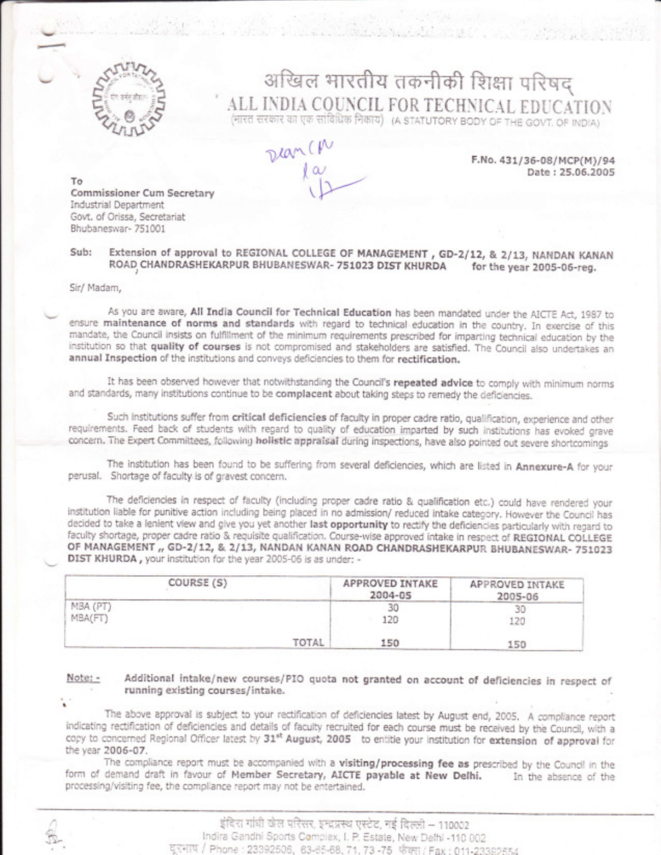

# अखिल भारतीय तकनीकी शिक्षा परिषद ALL INDIA COUNCIL FOR TECHNICAL EDUCATION<br>(HIRE REROR OF REGION (A STATUTORY BODY OF THE GOVT. OF INDIA)

 $\nu a^{\mu}$ 

F.No. 431/36-08/MCP(M)/94 Date: 25.06.2005

To Commissioner Cum Secretary Industrial Department Govt. of Orissa, Secretariat Bhubaneswar-751001

#### Extension of approval to REGIONAL COLLEGE OF MANAGEMENT, GD-2/12, & 2/13, NANDAN KANAN Sub: ROAD CHANDRASHEKARPUR BHUBANESWAR- 751023 DIST KHURDA for the year 2005-06-reg.

#### Sir/ Madam,

As you are aware, All India Council for Technical Education has been mandated under the AICTE Act, 1987 to ensure maintenance of norms and standards with regard to technical education in the country. In exercise of this mandate, the Council insists on fulfillment of the minimum requirements prescribed for imparting technical education by the institution so that quality of courses is not compromised and stakeholders are satisfied. The Council also undertakes an annual Inspection of the institutions and conveys deficiencies to them for rectification.

It has been observed however that notwithstanding the Council's repeated advice to comply with minimum norms and standards, many institutions continue to be complacent about taking steps to remedy the deficiencies.

Such institutions suffer from critical deficiencies of faculty in proper cadre ratio, qualification, experience and other requirements. Feed back of students with regard to quality of education imparted by such institutions has evoked grave concern. The Expert Committees, following holistic appraisal during inspections, have also pointed out severe shortcomings

The institution has been found to be suffering from several deficiencies, which are listed in Annexure-A for your perusal. Shortage of faculty is of gravest concern.

The deficiencies in respect of faculty (including proper cadre ratio & qualification etc.) could have rendered your institution liable for punitive action including being placed in no admission/ reduced intake category. However the Council has decided to take a lenient view and give you yet another last opportunity to rectify the deficiencies particularly with regard to faculty shortage, proper cadre ratio & requisite qualification. Course-wise approved intake in respect of REGIONAL COLLEGE OF MANAGEMENT ,, GD-2/12, & 2/13, NANDAN KANAN ROAD CHANDRASHEKARPUR BHUBANESWAR- 751023 DIST KHURDA, your institution for the year 2005-06 is as under: -

| COURSE (S)          | APPROVED INTAKE<br>2004-05 | APPROVED INTAKE<br>2005-06 |
|---------------------|----------------------------|----------------------------|
| MBA (PT)<br>MBA(FT) | 30<br>120                  | 120                        |
| TOTAL               | 150                        | 150                        |

Note: -

Additional intake/new courses/PIO quota not granted on account of deficiencies in respect of running existing courses/intake.

The above approval is subject to your rectification of deficiencies latest by August end, 2005. A compliance report indicating rectification of deficiencies and details of faculty recruited for each course must be received by the Council, with a copy to concerned Regional Officer latest by 31st August, 2005 to entitle your institution for extension of approval for the year 2006-07.

The compliance report must be accompanied with a visiting/processing fee as prescribed by the Council in the form of demand draft in favour of Member Secretary, AICTE payable at New Delhi. In the absence of the processing/visiting fee, the compliance report may not be entertained.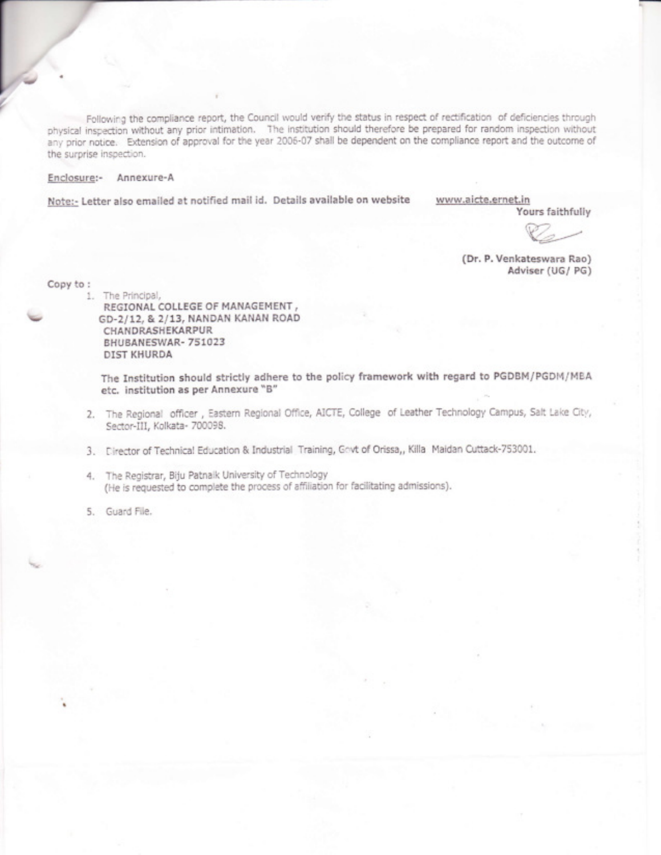Following the compliance report, the Council would verify the status in respect of rectification of deficiencies through physical inspection without any prior intimation. The institution should therefore be prepared for random inspection without any prior notice. Extension of approval for the year 2006-07 shall be dependent on the compliance report and the outcome of the surprise inspection.

## Enclosure:- Annexure-A

Note:- Letter also emailed at notified mail id. Details available on website www.aicte.ernet.in

Yours faithfully

(Dr. F. Venkateswara Rao) Adviser (UG/ PG)

Copy to :

 $\overline{\phantom{a}}$ 

1. The Principal, REGIONAL COLLEGE OF MANAGEMENT, GD-2/12, & 2/13, NANDAN KANAN ROAD **CHANDRASHEKARPUR** BHUBANESWAR-751023 DIST KHURDA

The Institution should strictly adhere to the policy framework with regard to PGDBM/PGDM/MBA etc. institution as per Annexure "B"

- 2. The Regional officer, Eastern Regional Office, AICTE, College of Leather Technology Campus, Salt Lake City, Sector-III, Kolkata- 700098.
- 3. Director of Teehnical Education & Industrial Training, Govt of Orissa,, Killa Maidan Cuttack-753001.
- . 4. The Registrar, Biju Patnaik University of Technology (He is requested to complete the process of affiliation for facilitating admissions).

5. Guard File.